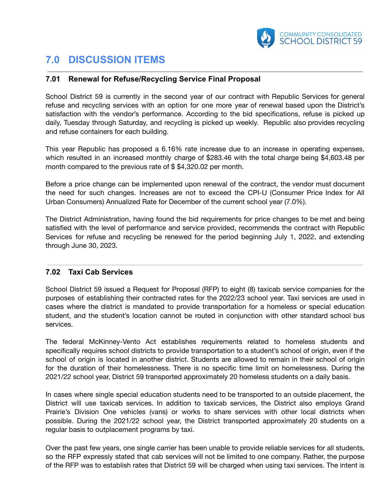

## **7.0 DISCUSSION ITEMS**

## **7.01 Renewal for Refuse/Recycling Service Final Proposal**

School District 59 is currently in the second year of our contract with Republic Services for general refuse and recycling services with an option for one more year of renewal based upon the District's satisfaction with the vendor's performance. According to the bid specifications, refuse is picked up daily, Tuesday through Saturday, and recycling is picked up weekly. Republic also provides recycling and refuse containers for each building.

This year Republic has proposed a 6.16% rate increase due to an increase in operating expenses, which resulted in an increased monthly charge of \$283.46 with the total charge being \$4,603.48 per month compared to the previous rate of \$ \$4,320.02 per month.

Before a price change can be implemented upon renewal of the contract, the vendor must document the need for such changes. Increases are not to exceed the CPI-U (Consumer Price Index for All Urban Consumers) Annualized Rate for December of the current school year (7.0%).

The District Administration, having found the bid requirements for price changes to be met and being satisfied with the level of performance and service provided, recommends the contract with Republic Services for refuse and recycling be renewed for the period beginning July 1, 2022, and extending through June 30, 2023.

## **7.02 Taxi Cab Services**

School District 59 issued a Request for Proposal (RFP) to eight (8) taxicab service companies for the purposes of establishing their contracted rates for the 2022/23 school year. Taxi services are used in cases where the district is mandated to provide transportation for a homeless or special education student, and the student's location cannot be routed in conjunction with other standard school bus services.

The federal McKinney-Vento Act establishes requirements related to homeless students and specifically requires school districts to provide transportation to a student's school of origin, even if the school of origin is located in another district. Students are allowed to remain in their school of origin for the duration of their homelessness. There is no specific time limit on homelessness. During the 2021/22 school year, District 59 transported approximately 20 homeless students on a daily basis.

In cases where single special education students need to be transported to an outside placement, the District will use taxicab services. In addition to taxicab services, the District also employs Grand Prairie's Division One vehicles (vans) or works to share services with other local districts when possible. During the 2021/22 school year, the District transported approximately 20 students on a regular basis to outplacement programs by taxi.

Over the past few years, one single carrier has been unable to provide reliable services for all students, so the RFP expressly stated that cab services will not be limited to one company. Rather, the purpose of the RFP was to establish rates that District 59 will be charged when using taxi services. The intent is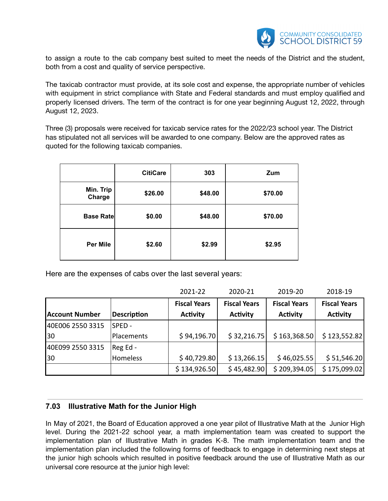

to assign a route to the cab company best suited to meet the needs of the District and the student, both from a cost and quality of service perspective.

The taxicab contractor must provide, at its sole cost and expense, the appropriate number of vehicles with equipment in strict compliance with State and Federal standards and must employ qualified and properly licensed drivers. The term of the contract is for one year beginning August 12, 2022, through August 12, 2023.

Three (3) proposals were received for taxicab service rates for the 2022/23 school year. The District has stipulated not all services will be awarded to one company. Below are the approved rates as quoted for the following taxicab companies.

|                     | <b>CitiCare</b> | 303     | Zum     |
|---------------------|-----------------|---------|---------|
| Min. Trip<br>Charge | \$26.00         | \$48.00 | \$70.00 |
| <b>Base Rate</b>    | \$0.00          | \$48.00 | \$70.00 |
| <b>Per Mile</b>     | \$2.60          | \$2.99  | \$2.95  |

Here are the expenses of cabs over the last several years:

|                       |                    | 2021-22             | 2020-21             | 2019-20             | 2018-19             |
|-----------------------|--------------------|---------------------|---------------------|---------------------|---------------------|
|                       |                    | <b>Fiscal Years</b> | <b>Fiscal Years</b> | <b>Fiscal Years</b> | <b>Fiscal Years</b> |
| <b>Account Number</b> | <b>Description</b> | <b>Activity</b>     | <b>Activity</b>     | <b>Activity</b>     | <b>Activity</b>     |
| 40E006 2550 3315      | SPED-              |                     |                     |                     |                     |
| 30                    | Placements         | \$94,196.70         | \$32,216.75         | \$163,368.50        | \$123,552.82        |
| 40E099 2550 3315      | $Reg Ed -$         |                     |                     |                     |                     |
| 30                    | Homeless           | \$40,729.80         | \$13,266.15         | \$46,025.55         | \$51,546.20         |
|                       |                    | \$134,926.50        | \$45,482.90         | \$209,394.05        | \$175,099.02        |

## **7.03 Illustrative Math for the Junior High**

In May of 2021, the Board of Education approved a one year pilot of Illustrative Math at the Junior High level. During the 2021-22 school year, a math implementation team was created to support the implementation plan of Illustrative Math in grades K-8. The math implementation team and the implementation plan included the following forms of feedback to engage in determining next steps at the junior high schools which resulted in positive feedback around the use of Illustrative Math as our universal core resource at the junior high level: